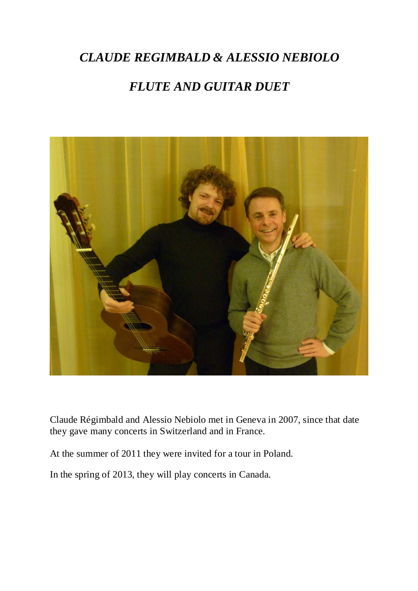## *CLAUDE REGIMBALD & ALESSIO NEBIOLO*

# *FLUTE AND GUITAR DUET*



Claude Régimbald and Alessio Nebiolo met in Geneva in 2007, since that date they gave many concerts in Switzerland and in France.

At the summer of 2011 they were invited for a tour in Poland.

In the spring of 2013, they will play concerts in Canada.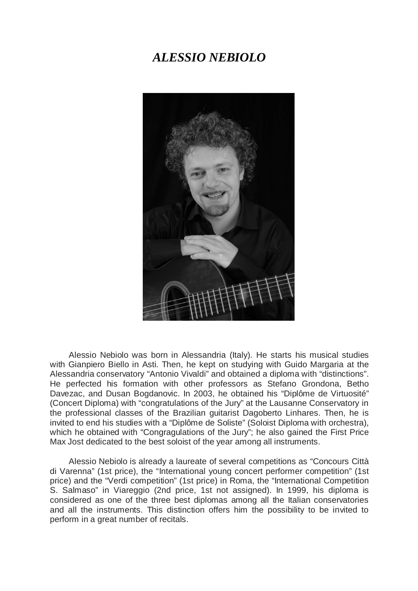#### *ALESSIO NEBIOLO*



Alessio Nebiolo was born in Alessandria (Italy). He starts his musical studies with Gianpiero Biello in Asti. Then, he kept on studying with Guido Margaria at the Alessandria conservatory "Antonio Vivaldi" and obtained a diploma with "distinctions". He perfected his formation with other professors as Stefano Grondona, Betho Davezac, and Dusan Bogdanovic. In 2003, he obtained his "Diplôme de Virtuosité" (Concert Diploma) with "congratulations of the Jury" at the Lausanne Conservatory in the professional classes of the Brazilian guitarist Dagoberto Linhares. Then, he is invited to end his studies with a "Diplôme de Soliste" (Soloist Diploma with orchestra), which he obtained with "Congragulations of the Jury"; he also gained the First Price Max Jost dedicated to the best soloist of the year among all instruments.

Alessio Nebiolo is already a laureate of several competitions as "Concours Città di Varenna" (1st price), the "International young concert performer competition" (1st price) and the "Verdi competition" (1st price) in Roma, the "International Competition S. Salmaso" in Viareggio (2nd price, 1st not assigned). In 1999, his diploma is considered as one of the three best diplomas among all the Italian conservatories and all the instruments. This distinction offers him the possibility to be invited to perform in a great number of recitals.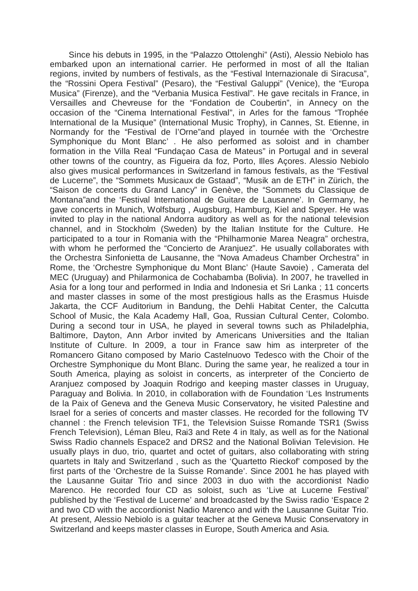Since his debuts in 1995, in the "Palazzo Ottolenghi" (Asti), Alessio Nebiolo has embarked upon an international carrier. He performed in most of all the Italian regions, invited by numbers of festivals, as the "Festival Internazionale di Siracusa", the "Rossini Opera Festival" (Pesaro), the "Festival Galuppi" (Venice), the "Europa Musica" (Firenze), and the "Verbania Musica Festival". He gave recitals in France, in Versailles and Chevreuse for the "Fondation de Coubertin", in Annecy on the occasion of the "Cinema International Festival", in Arles for the famous "Trophée International de la Musique" (International Music Trophy), in Cannes, St. Etienne, in Normandy for the "Festival de l'Orne"and played in tournée with the 'Orchestre Symphonique du Mont Blanc' . He also performed as soloist and in chamber formation in the Villa Real "Fundaçao Casa de Mateus" in Portugal and in several other towns of the country, as Figueira da foz, Porto, Illes Açores. Alessio Nebiolo also gives musical performances in Switzerland in famous festivals, as the "Festival de Lucerne", the "Sommets Musicaux de Gstaad", "Musik an de ETH" in Zürich, the "Saison de concerts du Grand Lancy" in Genève, the "Sommets du Classique de Montana"and the 'Festival International de Guitare de Lausanne'. In Germany, he gave concerts in Munich, Wolfsburg , Augsburg, Hamburg, Kiel and Speyer. He was invited to play in the national Andorra auditory as well as for the national television channel, and in Stockholm (Sweden) by the Italian Institute for the Culture. He participated to a tour in Romania with the "Philharmonie Marea Neagra" orchestra, with whom he performed the "Concierto de Aranjuez". He usually collaborates with the Orchestra Sinfonietta de Lausanne, the "Nova Amadeus Chamber Orchestra" in Rome, the 'Orchestre Symphonique du Mont Blanc' (Haute Savoie) , Camerata del MEC (Uruguay) and Philarmonica de Cochabamba (Bolivia). In 2007, he travelled in Asia for a long tour and performed in India and Indonesia et Sri Lanka ; 11 concerts and master classes in some of the most prestigious halls as the Erasmus Huisde Jakarta, the CCF Auditorium in Bandung, the Dehli Habitat Center, the Calcutta School of Music, the Kala Academy Hall, Goa, Russian Cultural Center, Colombo. During a second tour in USA, he played in several towns such as Philadelphia, Baltimore, Dayton, Ann Arbor invited by Americans Universities and the Italian Institute of Culture. In 2009, a tour in France saw him as interpreter of the Romancero Gitano composed by Mario Castelnuovo Tedesco with the Choir of the Orchestre Symphonique du Mont Blanc. During the same year, he realized a tour in South America, playing as soloist in concerts, as interpreter of the Concierto de Aranjuez composed by Joaquin Rodrigo and keeping master classes in Uruguay, Paraguay and Bolivia. In 2010, in collaboration with de Foundation 'Les Instruments de la Paix of Geneva and the Geneva Music Conservatory, he visited Palestine and Israel for a series of concerts and master classes. He recorded for the following TV channel : the French television TF1, the Television Suisse Romande TSR1 (Swiss French Television), Léman Bleu, Rai3 and Rete 4 in Italy, as well as for the National Swiss Radio channels Espace2 and DRS2 and the National Bolivian Television. He usually plays in duo, trio, quartet and octet of guitars, also collaborating with string quartets in Italy and Switzerland , such as the 'Quartetto Rieckof' composed by the first parts of the 'Orchestre de la Suisse Romande'. Since 2001 he has played with the Lausanne Guitar Trio and since 2003 in duo with the accordionist Nadio Marenco. He recorded four CD as soloist, such as 'Live at Lucerne Festival' published by the 'Festival de Lucerne' and broadcasted by the Swiss radio 'Espace 2 and two CD with the accordionist Nadio Marenco and with the Lausanne Guitar Trio. At present, Alessio Nebiolo is a guitar teacher at the Geneva Music Conservatory in Switzerland and keeps master classes in Europe, South America and Asia.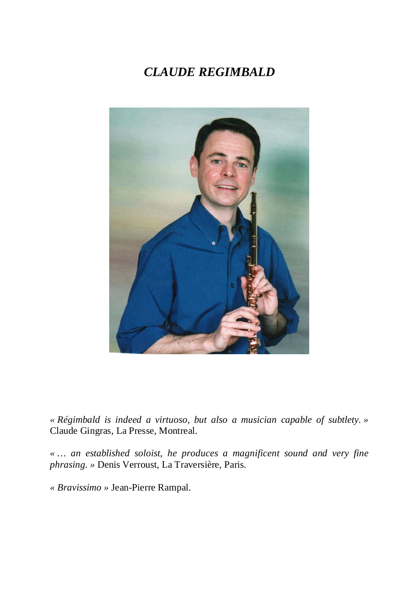# *CLAUDE REGIMBALD*



*« Régimbald is indeed a virtuoso, but also a musician capable of subtlety. »*  Claude Gingras, La Presse, Montreal.

*« … an established soloist, he produces a magnificent sound and very fine phrasing. »* Denis Verroust, La Traversière, Paris.

*« Bravissimo »* Jean-Pierre Rampal.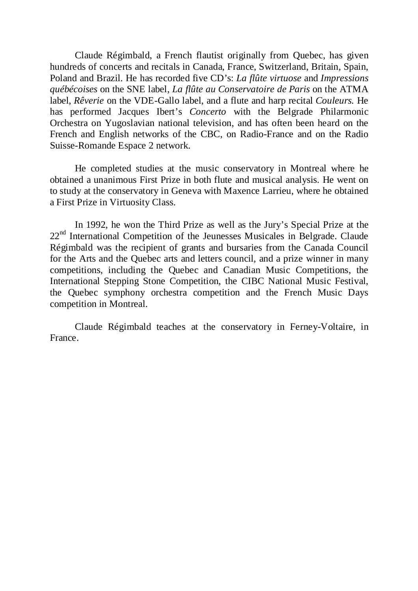Claude Régimbald, a French flautist originally from Quebec, has given hundreds of concerts and recitals in Canada, France, Switzerland, Britain, Spain, Poland and Brazil. He has recorded five CD's: *La flûte virtuose* and *Impressions québécoises* on the SNE label, *La flûte au Conservatoire de Paris* on the ATMA label, *Rêverie* on the VDE-Gallo label, and a flute and harp recital *Couleurs.* He has performed Jacques Ibert's *Concerto* with the Belgrade Philarmonic Orchestra on Yugoslavian national television, and has often been heard on the French and English networks of the CBC, on Radio-France and on the Radio Suisse-Romande Espace 2 network.

 He completed studies at the music conservatory in Montreal where he obtained a unanimous First Prize in both flute and musical analysis. He went on to study at the conservatory in Geneva with Maxence Larrieu, where he obtained a First Prize in Virtuosity Class.

 In 1992, he won the Third Prize as well as the Jury's Special Prize at the 22<sup>nd</sup> International Competition of the Jeunesses Musicales in Belgrade. Claude Régimbald was the recipient of grants and bursaries from the Canada Council for the Arts and the Quebec arts and letters council, and a prize winner in many competitions, including the Quebec and Canadian Music Competitions, the International Stepping Stone Competition, the CIBC National Music Festival, the Quebec symphony orchestra competition and the French Music Days competition in Montreal.

 Claude Régimbald teaches at the conservatory in Ferney-Voltaire, in France.